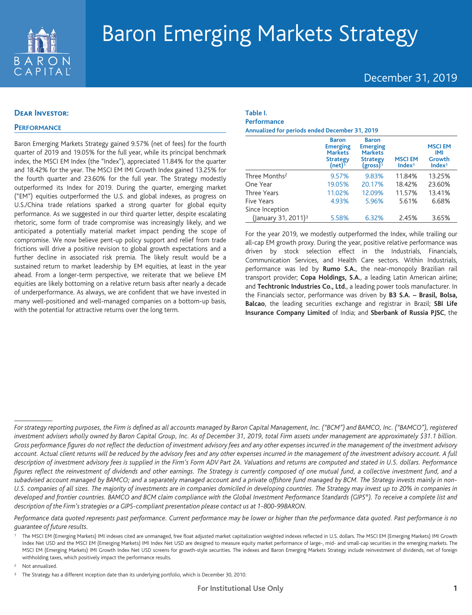

# December 31, 2019

## **Dear Investor:**

## **PERFORMANCE**

Baron Emerging Markets Strategy gained 9.57% (net of fees) for the fourth quarter of 2019 and 19.05% for the full year, while its principal benchmark index, the MSCI EM Index (the "Index"), appreciated 11.84% for the quarter and 18.42% for the year. The MSCI EM IMI Growth Index gained 13.25% for the fourth quarter and 23.60% for the full year. The Strategy modestly outperformed its Index for 2019. During the quarter, emerging market ("EM") equities outperformed the U.S. and global indexes, as progress on U.S./China trade relations sparked a strong quarter for global equity performance. As we suggested in our third quarter letter, despite escalating rhetoric, some form of trade compromise was increasingly likely, and we anticipated a potentially material market impact pending the scope of compromise. We now believe pent-up policy support and relief from trade frictions will drive a positive revision to global growth expectations and a further decline in associated risk premia. The likely result would be a sustained return to market leadership by EM equities, at least in the year ahead. From a longer-term perspective, we reiterate that we believe EM equities are likely bottoming on a relative return basis after nearly a decade of underperformance. As always, we are confident that we have invested in many well-positioned and well-managed companies on a bottom-up basis, with the potential for attractive returns over the long term.

### **Table I. Performance**

**Annualized for periods ended December 31, 2019**

|                                 | <b>Baron</b><br><b>Emerging</b><br><b>Markets</b><br><b>Strategy</b><br>$(net)$ <sup>1</sup> | <b>Baron</b><br><b>Emerging</b><br><b>Markets</b><br><b>Strategy</b><br>$(gross)^1$ | <b>MSCIEM</b><br>Index <sup>1</sup> | <b>MSCIEM</b><br><b>IMI</b><br>Growth<br>Index <sup>1</sup> |
|---------------------------------|----------------------------------------------------------------------------------------------|-------------------------------------------------------------------------------------|-------------------------------------|-------------------------------------------------------------|
| Three Months <sup>2</sup>       | 9.57%                                                                                        | 9.83%                                                                               | 11.84%                              | 13.25%                                                      |
| One Year                        | 19.05%                                                                                       | 20.17%                                                                              | 18.42%                              | 23.60%                                                      |
| <b>Three Years</b>              | 11.02%                                                                                       | 12.09%                                                                              | 11.57%                              | 13.41%                                                      |
| Five Years                      | 4.93%                                                                                        | 5.96%                                                                               | 5.61%                               | 6.68%                                                       |
| Since Inception                 |                                                                                              |                                                                                     |                                     |                                                             |
| (January 31, 2011) <sup>3</sup> | 5.58%                                                                                        | 6.32%                                                                               | 2.45%                               | 3.65%                                                       |

For the year 2019, we modestly outperformed the Index, while trailing our all-cap EM growth proxy. During the year, positive relative performance was driven by stock selection effect in the Industrials, Financials, Communication Services, and Health Care sectors. Within Industrials, performance was led by **Rumo S.A.**, the near-monopoly Brazilian rail transport provider; **Copa Holdings, S.A.**, a leading Latin American airline; and **Techtronic Industries Co., Ltd.**, a leading power tools manufacturer. In the Financials sector, performance was driven by **B3 S.A. – Brasil, Bolsa, Balcao**, the leading securities exchange and registrar in Brazil; **SBI Life Insurance Company Limited** of India; and **Sberbank of Russia PJSC**, the

*Performance data quoted represents past performance. Current performance may be lower or higher than the performance data quoted. Past performance is no guarantee of future results.*

Not annualized.

*For strategy reporting purposes, the Firm is defined as all accounts managed by Baron Capital Management, Inc. ("BCM") and BAMCO, Inc. ("BAMCO"), registered investment advisers wholly owned by Baron Capital Group, Inc. As of December 31, 2019, total Firm assets under management are approximately \$31.1 billion. Gross performance figures do not reflect the deduction of investment advisory fees and any other expenses incurred in the management of the investment advisory account. Actual client returns will be reduced by the advisory fees and any other expenses incurred in the management of the investment advisory account. A full description of investment advisory fees is supplied in the Firm's Form ADV Part 2A. Valuations and returns are computed and stated in U.S. dollars. Performance* figures reflect the reinvestment of dividends and other earnings. The Strategy is currently composed of one mutual fund, a collective investment fund, and a *subadvised account managed by BAMCO; and a separately managed account and a private offshore fund managed by BCM. The Strategy invests mainly in non-U.S. companies of all sizes. The majority of investments are in companies domiciled in developing countries. The Strategy may invest up to 20% in companies in developed and frontier countries. BAMCO and BCM claim compliance with the Global Investment Performance Standards (GIPS®). To receive a complete list and description of the Firm's strategies or a GIPS-compliant presentation please contact us at 1-800-99BARON.*

<sup>1</sup> The MSCI EM (Emerging Markets) IMI indexes cited are unmanaged, free float adjusted market capitalization weighted indexes reflected in U.S. dollars. The MSCI EM (Emerging Markets) IMI Growth Index Net USD and the MSCI EM (Emerging Markets) IMI Index Net USD are designed to measure equity market performance of large-, mid- and small-cap securities in the emerging markets. The MSCI EM (Emerging Markets) IMI Growth Index Net USD screens for growth-style securities. The indexes and Baron Emerging Markets Strategy include reinvestment of dividends, net of foreign withholding taxes, which positively impact the performance results.

<sup>&</sup>lt;sup>3</sup> The Strategy has a different inception date than its underlying portfolio, which is December 30, 2010.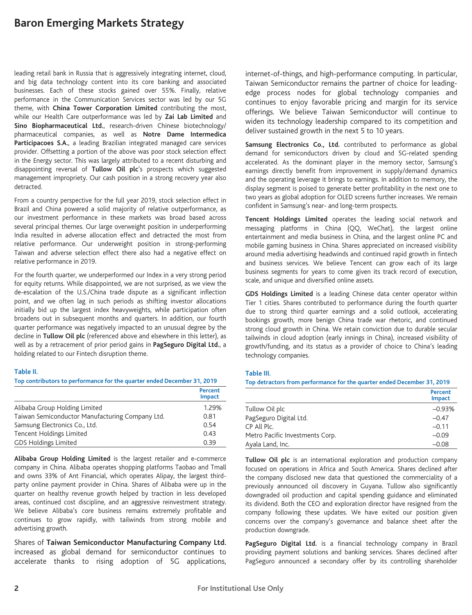leading retail bank in Russia that is aggressively integrating internet, cloud, and big data technology content into its core banking and associated businesses. Each of these stocks gained over 55%. Finally, relative performance in the Communication Services sector was led by our 5G theme, with **China Tower Corporation Limited** contributing the most, while our Health Care outperformance was led by **Zai Lab Limited** and **Sino Biopharmaceutical Ltd.**, research-driven Chinese biotechnology/ pharmaceutical companies, as well as **Notre Dame Intermedica Participacoes S.A.**, a leading Brazilian integrated managed care services provider. Offsetting a portion of the above was poor stock selection effect in the Energy sector. This was largely attributed to a recent disturbing and disappointing reversal of **Tullow Oil plc**'s prospects which suggested management impropriety. Our cash position in a strong recovery year also detracted.

From a country perspective for the full year 2019, stock selection effect in Brazil and China powered a solid majority of relative outperformance, as our investment performance in these markets was broad based across several principal themes. Our large overweight position in underperforming India resulted in adverse allocation effect and detracted the most from relative performance. Our underweight position in strong-performing Taiwan and adverse selection effect there also had a negative effect on relative performance in 2019.

For the fourth quarter, we underperformed our Index in a very strong period for equity returns. While disappointed, we are not surprised, as we view the de-escalation of the U.S./China trade dispute as a significant inflection point, and we often lag in such periods as shifting investor allocations initially bid up the largest index heavyweights, while participation often broadens out in subsequent months and quarters. In addition, our fourth quarter performance was negatively impacted to an unusual degree by the decline in **Tullow Oil plc** (referenced above and elsewhere in this letter), as well as by a retracement of prior period gains in **PagSeguro Digital Ltd.**, a holding related to our Fintech disruption theme.

#### **Table II.**

#### **Top contributors to performance for the quarter ended December 31, 2019**

|                                                 | Percent<br><b>Impact</b> |
|-------------------------------------------------|--------------------------|
| Alibaba Group Holding Limited                   | 1.29%                    |
| Taiwan Semiconductor Manufacturing Company Ltd. | 0.81                     |
| Samsung Electronics Co., Ltd.                   | 0.54                     |
| Tencent Holdings Limited                        | 0.43                     |
| <b>GDS Holdings Limited</b>                     | 0.39                     |

**Alibaba Group Holding Limited** is the largest retailer and e-commerce company in China. Alibaba operates shopping platforms Taobao and Tmall and owns 33% of Ant Financial, which operates Alipay, the largest thirdparty online payment provider in China. Shares of Alibaba were up in the quarter on healthy revenue growth helped by traction in less developed areas, continued cost discipline, and an aggressive reinvestment strategy. We believe Alibaba's core business remains extremely profitable and continues to grow rapidly, with tailwinds from strong mobile and advertising growth.

Shares of **Taiwan Semiconductor Manufacturing Company Ltd.** increased as global demand for semiconductor continues to accelerate thanks to rising adoption of 5G applications, internet-of-things, and high-performance computing. In particular, Taiwan Semiconductor remains the partner of choice for leadingedge process nodes for global technology companies and continues to enjoy favorable pricing and margin for its service offerings. We believe Taiwan Semiconductor will continue to widen its technology leadership compared to its competition and deliver sustained growth in the next 5 to 10 years.

**Samsung Electronics Co., Ltd.** contributed to performance as global demand for semiconductors driven by cloud and 5G-related spending accelerated. As the dominant player in the memory sector, Samsung's earnings directly benefit from improvement in supply/demand dynamics and the operating leverage it brings to earnings. In addition to memory, the display segment is poised to generate better profitability in the next one to two years as global adoption for OLED screens further increases. We remain confident in Samsung's near- and long-term prospects.

**Tencent Holdings Limited** operates the leading social network and messaging platforms in China (QQ, WeChat), the largest online entertainment and media business in China, and the largest online PC and mobile gaming business in China. Shares appreciated on increased visibility around media advertising headwinds and continued rapid growth in fintech and business services. We believe Tencent can grow each of its large business segments for years to come given its track record of execution, scale, and unique and diversified online assets.

**GDS Holdings Limited** is a leading Chinese data center operator within Tier 1 cities. Shares contributed to performance during the fourth quarter due to strong third quarter earnings and a solid outlook, accelerating bookings growth, more benign China trade war rhetoric, and continued strong cloud growth in China. We retain conviction due to durable secular tailwinds in cloud adoption (early innings in China), increased visibility of growth/funding, and its status as a provider of choice to China's leading technology companies.

#### **Table III.**

#### **Top detractors from performance for the quarter ended December 31, 2019**

|                                 | Percent<br><b>Impact</b> |
|---------------------------------|--------------------------|
| Tullow Oil plc                  | $-0.93%$                 |
| PagSeguro Digital Ltd.          | $-0.47$                  |
| CP All Plc.                     | $-0.11$                  |
| Metro Pacific Investments Corp. | $-0.09$                  |
| Ayala Land, Inc.                | $-0.08$                  |

**Tullow Oil plc** is an international exploration and production company focused on operations in Africa and South America. Shares declined after the company disclosed new data that questioned the commerciality of a previously announced oil discovery in Guyana. Tullow also significantly downgraded oil production and capital spending guidance and eliminated its dividend. Both the CEO and exploration director have resigned from the company following these updates. We have exited our position given concerns over the company's governance and balance sheet after the production downgrade.

PagSeguro Digital Ltd. is a financial technology company in Brazil providing payment solutions and banking services. Shares declined after PagSeguro announced a secondary offer by its controlling shareholder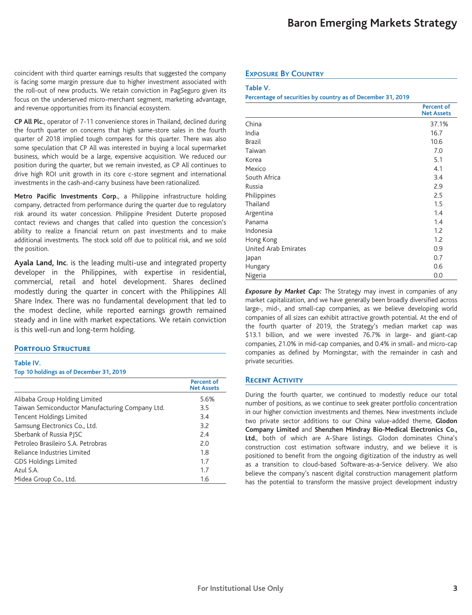coincident with third quarter earnings results that suggested the company is facing some margin pressure due to higher investment associated with the roll-out of new products. We retain conviction in PagSeguro given its focus on the underserved micro-merchant segment, marketing advantage, and revenue opportunities from its financial ecosystem.

**CP All Plc.**, operator of 7-11 convenience stores in Thailand, declined during the fourth quarter on concerns that high same-store sales in the fourth quarter of 2018 implied tough compares for this quarter. There was also some speculation that CP All was interested in buying a local supermarket business, which would be a large, expensive acquisition. We reduced our position during the quarter, but we remain invested, as CP All continues to drive high ROI unit growth in its core c-store segment and international investments in the cash-and-carry business have been rationalized.

**Metro Pacific Investments Corp.**, a Philippine infrastructure holding company, detracted from performance during the quarter due to regulatory risk around its water concession. Philippine President Duterte proposed contact reviews and changes that called into question the concession's ability to realize a financial return on past investments and to make additional investments. The stock sold off due to political risk, and we sold the position.

**Ayala Land, Inc**. is the leading multi-use and integrated property developer in the Philippines, with expertise in residential, commercial, retail and hotel development. Shares declined modestly during the quarter in concert with the Philippines All Share Index. There was no fundamental development that led to the modest decline, while reported earnings growth remained steady and in line with market expectations. We retain conviction is this well-run and long-term holding.

## **PORTFOLIO STRUCTURE**

## **Table IV.**

#### **Top 10 holdings as of December 31, 2019**

|                                                 | <b>Percent of</b><br><b>Net Assets</b> |
|-------------------------------------------------|----------------------------------------|
| Alibaba Group Holding Limited                   | 5.6%                                   |
| Taiwan Semiconductor Manufacturing Company Ltd. | 3.5                                    |
| Tencent Holdings Limited                        | 3.4                                    |
| Samsung Electronics Co., Ltd.                   | 3.2                                    |
| Sberbank of Russia PISC                         | 2.4                                    |
| Petroleo Brasileiro S.A. Petrobras              | 2.0                                    |
| Reliance Industries Limited                     | 1.8                                    |
| <b>GDS Holdings Limited</b>                     | 1.7                                    |
| Azul S.A.                                       | 1.7                                    |
| Midea Group Co., Ltd.                           | 1.6                                    |

## **EXPOSURE BY COUNTRY**

#### **Table V.**

**Percentage of securities by country as of December 31, 2019**

|                      | <b>Percent of</b><br><b>Net Assets</b> |
|----------------------|----------------------------------------|
| China                | 37.1%                                  |
| India                | 16.7                                   |
| <b>Brazil</b>        | 10.6                                   |
| Taiwan               | 7.0                                    |
| Korea                | 5.1                                    |
| Mexico               | 4.1                                    |
| South Africa         | 3.4                                    |
| Russia               | 2.9                                    |
| Philippines          | 2.5                                    |
| Thailand             | 1.5                                    |
| Argentina            | 1.4                                    |
| Panama               | 1.4                                    |
| Indonesia            | 1.2                                    |
| Hong Kong            | 1.2                                    |
| United Arab Emirates | 0.9                                    |
| Japan                | 0.7                                    |
| Hungary              | 0.6                                    |
| Nigeria              | 0.0                                    |

*Exposure by Market Cap:* The Strategy may invest in companies of any market capitalization, and we have generally been broadly diversified across large-, mid-, and small-cap companies, as we believe developing world companies of all sizes can exhibit attractive growth potential. At the end of the fourth quarter of 2019, the Strategy's median market cap was \$13.1 billion, and we were invested 76.7% in large- and giant-cap companies, 21.0% in mid-cap companies, and 0.4% in small- and micro-cap companies as defined by Morningstar, with the remainder in cash and private securities.

## **Recent Activity**

During the fourth quarter, we continued to modestly reduce our total number of positions, as we continue to seek greater portfolio concentration in our higher conviction investments and themes. New investments include two private sector additions to our China value-added theme, **Glodon Company Limited** and **Shenzhen Mindray Bio-Medical Electronics Co., Ltd.**, both of which are A-Share listings. Glodon dominates China's construction cost estimation software industry, and we believe it is positioned to benefit from the ongoing digitization of the industry as well as a transition to cloud-based Software-as-a-Service delivery. We also believe the company's nascent digital construction management platform has the potential to transform the massive project development industry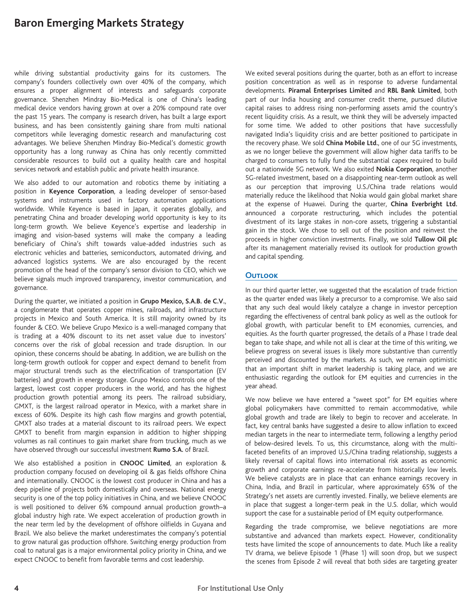while driving substantial productivity gains for its customers. The company's founders collectively own over 40% of the company, which ensures a proper alignment of interests and safeguards corporate governance. Shenzhen Mindray Bio-Medical is one of China's leading medical device vendors having grown at over a 20% compound rate over the past 15 years. The company is research driven, has built a large export business, and has been consistently gaining share from multi national competitors while leveraging domestic research and manufacturing cost advantages. We believe Shenzhen Mindray Bio-Medical's domestic growth opportunity has a long runway as China has only recently committed considerable resources to build out a quality health care and hospital services network and establish public and private health insurance.

We also added to our automation and robotics theme by initiating a position in **Keyence Corporation**, a leading developer of sensor-based systems and instruments used in factory automation applications worldwide. While Keyence is based in Japan, it operates globally, and penetrating China and broader developing world opportunity is key to its long-term growth. We believe Keyence's expertise and leadership in imaging and vision-based systems will make the company a leading beneficiary of China's shift towards value-added industries such as electronic vehicles and batteries, semiconductors, automated driving, and advanced logistics systems. We are also encouraged by the recent promotion of the head of the company's sensor division to CEO, which we believe signals much improved transparency, investor communication, and governance.

During the quarter, we initiated a position in **Grupo Mexico, S.A.B. de C.V.**, a conglomerate that operates copper mines, railroads, and infrastructure projects in Mexico and South America. It is still majority owned by its founder & CEO. We believe Grupo Mexico is a well-managed company that is trading at a 40% discount to its net asset value due to investors' concerns over the risk of global recession and trade disruption. In our opinion, these concerns should be abating. In addition, we are bullish on the long-term growth outlook for copper and expect demand to benefit from major structural trends such as the electrification of transportation (EV batteries) and growth in energy storage. Grupo Mexico controls one of the largest, lowest cost copper producers in the world, and has the highest production growth potential among its peers. The railroad subsidiary, GMXT, is the largest railroad operator in Mexico, with a market share in excess of 60%. Despite its high cash flow margins and growth potential, GMXT also trades at a material discount to its railroad peers. We expect GMXT to benefit from margin expansion in addition to higher shipping volumes as rail continues to gain market share from trucking, much as we have observed through our successful investment **Rumo S.A.** of Brazil.

We also established a position in **CNOOC Limited**, an exploration & production company focused on developing oil & gas fields offshore China and internationally. CNOOC is the lowest cost producer in China and has a deep pipeline of projects both domestically and overseas. National energy security is one of the top policy initiatives in China, and we believe CNOOC is well positioned to deliver 6% compound annual production growth–a global industry high rate. We expect acceleration of production growth in the near term led by the development of offshore oilfields in Guyana and Brazil. We also believe the market underestimates the company's potential to grow natural gas production offshore. Switching energy production from coal to natural gas is a major environmental policy priority in China, and we expect CNOOC to benefit from favorable terms and cost leadership.

We exited several positions during the quarter, both as an effort to increase position concentration as well as in response to adverse fundamental developments. **Piramal Enterprises Limited** and **RBL Bank Limited**, both part of our India housing and consumer credit theme, pursued dilutive capital raises to address rising non-performing assets amid the country's recent liquidity crisis. As a result, we think they will be adversely impacted for some time. We added to other positions that have successfully navigated India's liquidity crisis and are better positioned to participate in the recovery phase. We sold **China Mobile Ltd.**, one of our 5G investments, as we no longer believe the government will allow higher data tariffs to be charged to consumers to fully fund the substantial capex required to build out a nationwide 5G network. We also exited **Nokia Corporation**, another 5G-related investment, based on a disappointing near-term outlook as well as our perception that improving U.S./China trade relations would materially reduce the likelihood that Nokia would gain global market share at the expense of Huawei. During the quarter, **China Everbright Ltd.** announced a corporate restructuring, which includes the potential divestment of its large stakes in non-core assets, triggering a substantial gain in the stock. We chose to sell out of the position and reinvest the proceeds in higher conviction investments. Finally, we sold **Tullow Oil plc** after its management materially revised its outlook for production growth and capital spending.

## **Outlook**

In our third quarter letter, we suggested that the escalation of trade friction as the quarter ended was likely a precursor to a compromise. We also said that any such deal would likely catalyze a change in investor perception regarding the effectiveness of central bank policy as well as the outlook for global growth, with particular benefit to EM economies, currencies, and equities. As the fourth quarter progressed, the details of a Phase I trade deal began to take shape, and while not all is clear at the time of this writing, we believe progress on several issues is likely more substantive than currently perceived and discounted by the markets. As such, we remain optimistic that an important shift in market leadership is taking place, and we are enthusiastic regarding the outlook for EM equities and currencies in the year ahead.

We now believe we have entered a "sweet spot" for EM equities where global policymakers have committed to remain accommodative, while global growth and trade are likely to begin to recover and accelerate. In fact, key central banks have suggested a desire to allow inflation to exceed median targets in the near to intermediate term, following a lengthy period of below-desired levels. To us, this circumstance, along with the multifaceted benefits of an improved U.S./China trading relationship, suggests a likely reversal of capital flows into international risk assets as economic growth and corporate earnings re-accelerate from historically low levels. We believe catalysts are in place that can enhance earnings recovery in China, India, and Brazil in particular, where approximately 65% of the Strategy's net assets are currently invested. Finally, we believe elements are in place that suggest a longer-term peak in the U.S. dollar, which would support the case for a sustainable period of EM equity outperformance.

Regarding the trade compromise, we believe negotiations are more substantive and advanced than markets expect. However, conditionality tests have limited the scope of announcements to date. Much like a reality TV drama, we believe Episode 1 (Phase 1) will soon drop, but we suspect the scenes from Episode 2 will reveal that both sides are targeting greater